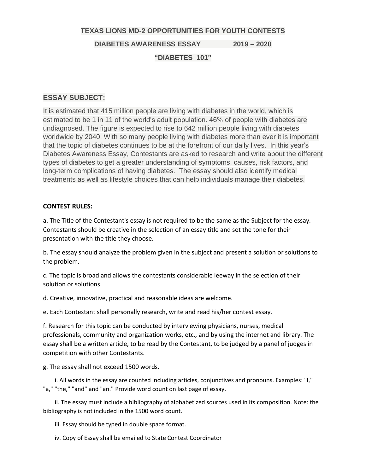### **TEXAS LIONS MD-2 OPPORTUNITIES FOR YOUTH CONTESTS**

**DIABETES AWARENESS ESSAY 2019 – 2020**

# **"DIABETES 101"**

## **ESSAY SUBJECT:**

It is estimated that 415 million people are living with diabetes in the world, which is estimated to be 1 in 11 of the world's adult population. 46% of people with diabetes are undiagnosed. The figure is expected to rise to 642 million people living with diabetes worldwide by 2040. With so many people living with diabetes more than ever it is important that the topic of diabetes continues to be at the forefront of our daily lives. In this year's Diabetes Awareness Essay, Contestants are asked to research and write about the different types of diabetes to get a greater understanding of symptoms, causes, risk factors, and long-term complications of having diabetes. The essay should also identify medical treatments as well as lifestyle choices that can help individuals manage their diabetes.

## **CONTEST RULES:**

a. The Title of the Contestant's essay is not required to be the same as the Subject for the essay. Contestants should be creative in the selection of an essay title and set the tone for their presentation with the title they choose.

b. The essay should analyze the problem given in the subject and present a solution or solutions to the problem.

c. The topic is broad and allows the contestants considerable leeway in the selection of their solution or solutions.

d. Creative, innovative, practical and reasonable ideas are welcome.

e. Each Contestant shall personally research, write and read his/her contest essay.

f. Research for this topic can be conducted by interviewing physicians, nurses, medical professionals, community and organization works, etc., and by using the internet and library. The essay shall be a written article, to be read by the Contestant, to be judged by a panel of judges in competition with other Contestants.

g. The essay shall not exceed 1500 words.

 i. All words in the essay are counted including articles, conjunctives and pronouns. Examples: "I," "a," "the," "and" and "an." Provide word count on last page of essay.

 ii. The essay must include a bibliography of alphabetized sources used in its composition. Note: the bibliography is not included in the 1500 word count.

iii. Essay should be typed in double space format.

iv. Copy of Essay shall be emailed to State Contest Coordinator